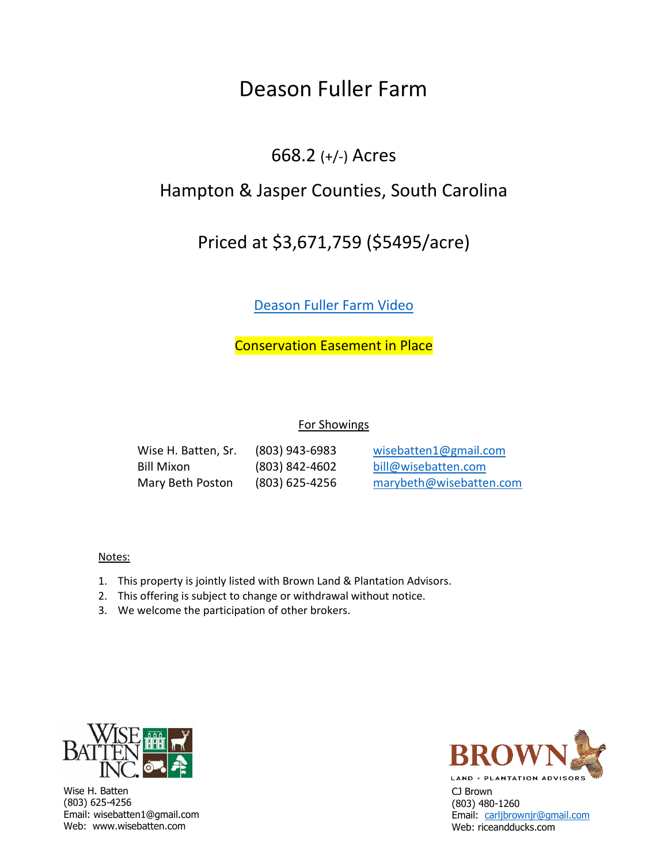# Deason Fuller Farm

## 668.2 (+/-) Acres

## Hampton & Jasper Counties, South Carolina

# Priced at \$3,671,759 (\$5495/acre)

## Deason Fuller Farm Video

Conservation Easement in Place

### For Showings

Wise H. Batten, Sr. (803) 943-6983 [wisebatten1@gmail.co](mailto:bill@wisebatten.com)m Bill Mixon (803) 842-4602 [bill@wisebatten.com](mailto:marybeth@wisebatten.com)

Mary Beth Poston (803) 625-4256 marybeth@wisebatten.com

### Notes:

- 1. This property is jointly listed with Brown Land & Plantation Advisors.
- 2. This offering is subject to change or withdrawal without notice.
- 3. We welcome the participation of other brokers.



Wise H. Batten (803) 625-4256 Email: wisebatten1@gmail.com Web: www.wisebatten.com



CJ Brown (803) 480-1260 Email: carljbrownjr@gmail.com Web: riceandducks.com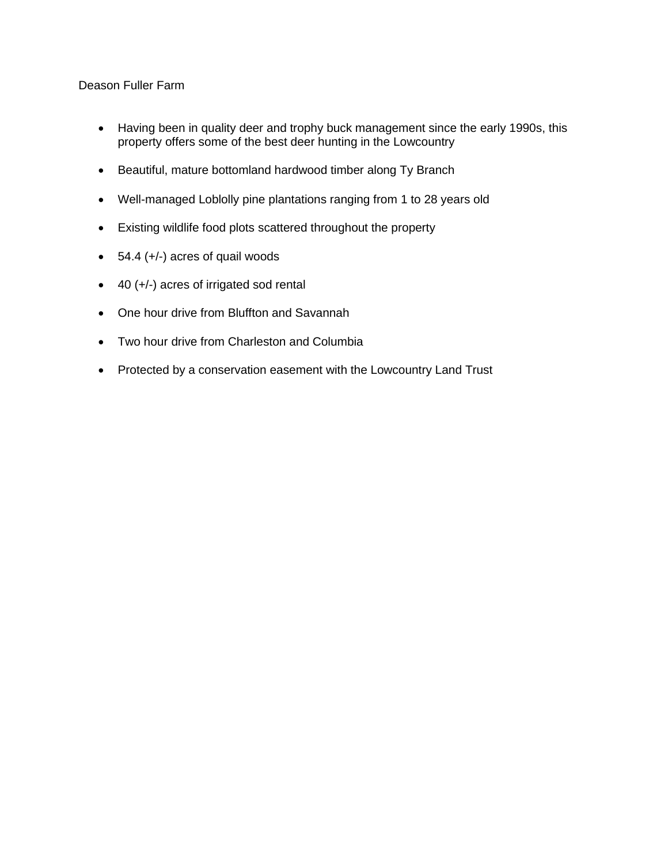### Deason Fuller Farm

- Having been in quality deer and trophy buck management since the early 1990s, this property offers some of the best deer hunting in the Lowcountry
- Beautiful, mature bottomland hardwood timber along Ty Branch
- Well-managed Loblolly pine plantations ranging from 1 to 28 years old
- Existing wildlife food plots scattered throughout the property
- $\bullet$  54.4 (+/-) acres of quail woods
- 40 (+/-) acres of irrigated sod rental
- One hour drive from Bluffton and Savannah
- Two hour drive from Charleston and Columbia
- Protected by a conservation easement with the Lowcountry Land Trust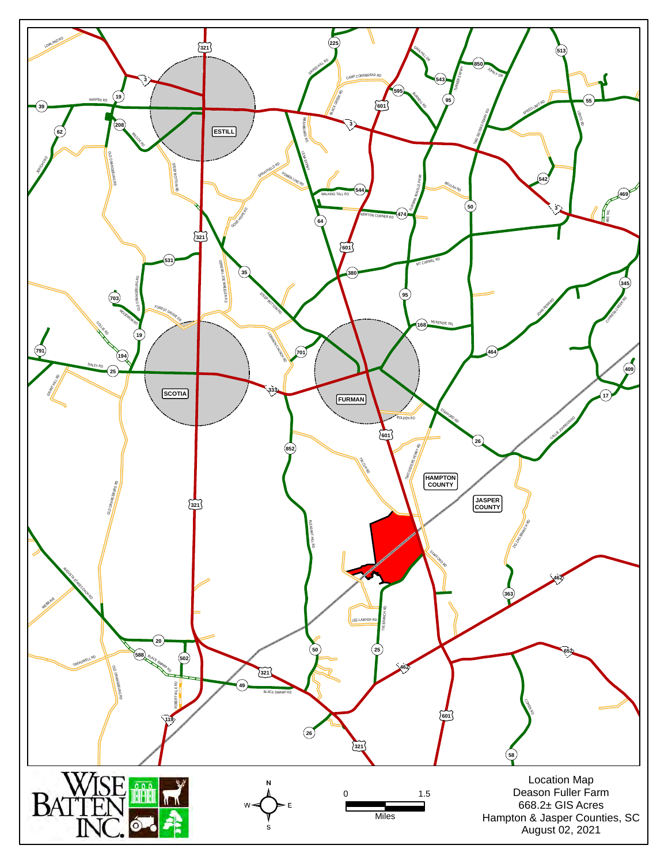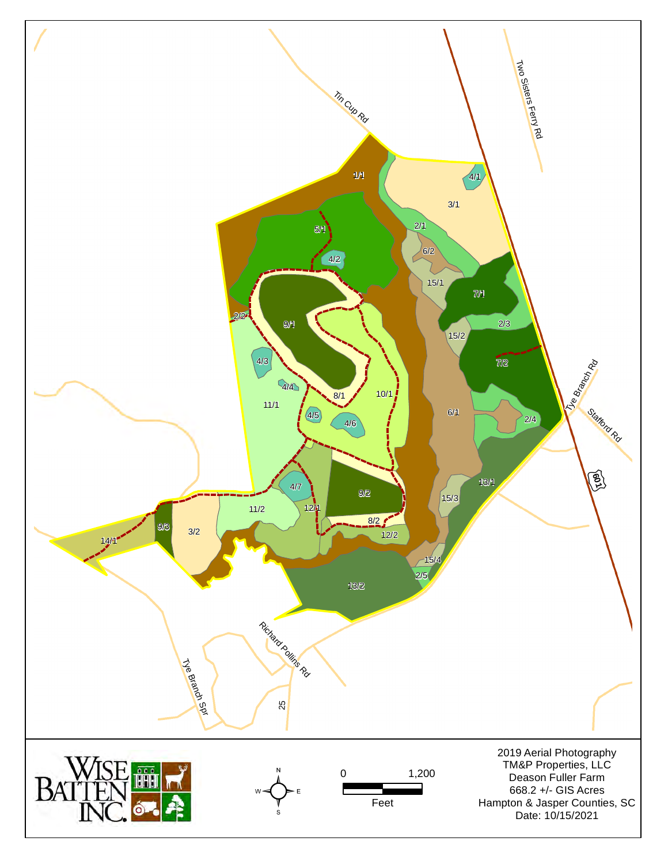